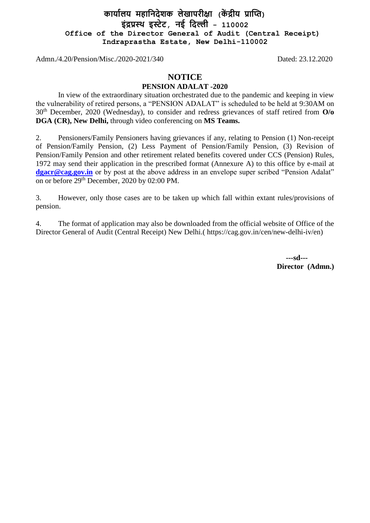# **कार्ाालर् महानिदेशक लेखापरीक्षा (कें द्रीर् प्राप्ति) इंद्रप्रस्थ इस्टेट, िई नदल्ली - 110002 Office of the Director General of Audit (Central Receipt) Indraprastha Estate, New Delhi-110002**

Admn./4.20/Pension/Misc./2020-2021/340 Dated: 23.12.2020

## **NOTICE**

#### **PENSION ADALAT -2020**

In view of the extraordinary situation orchestrated due to the pandemic and keeping in view the vulnerability of retired persons, a "PENSION ADALAT" is scheduled to be held at 9:30AM on 30th December, 2020 (Wednesday), to consider and redress grievances of staff retired from **O/o DGA (CR), New Delhi,** through video conferencing on **MS Teams.**

2. Pensioners/Family Pensioners having grievances if any, relating to Pension (1) Non-receipt of Pension/Family Pension, (2) Less Payment of Pension/Family Pension, (3) Revision of Pension/Family Pension and other retirement related benefits covered under CCS (Pension) Rules, 1972 may send their application in the prescribed format (Annexure A) to this office by e-mail at **[dgacr@cag.gov.in](mailto:dgacr@cag.gov.in)** or by post at the above address in an envelope super scribed "Pension Adalat" on or before  $29<sup>th</sup>$  December, 2020 by 02:00 PM.

3. However, only those cases are to be taken up which fall within extant rules/provisions of pension.

4. The format of application may also be downloaded from the official website of Office of the Director General of Audit (Central Receipt) New Delhi.( https://cag.gov.in/cen/new-delhi-iv/en)

> **---sd--- Director (Admn.)**